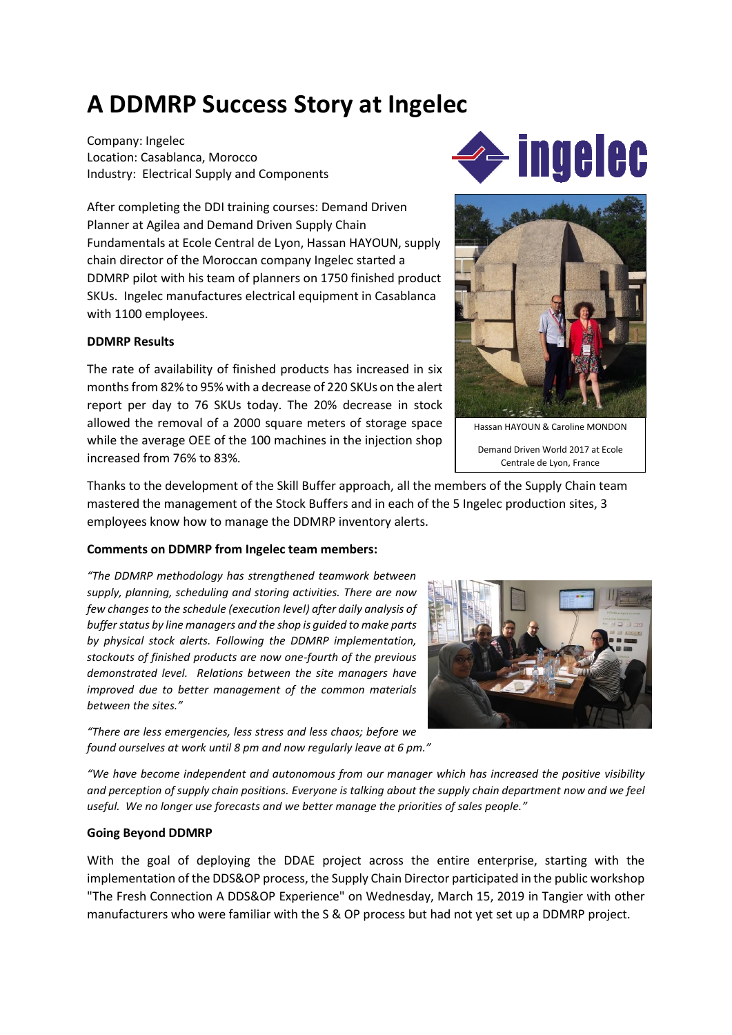## **A DDMRP Success Story at Ingelec**

Company: Ingelec Location: Casablanca, Morocco Industry: Electrical Supply and Components

After completing the DDI training courses: Demand Driven Planner at Agilea and Demand Driven Supply Chain Fundamentals at Ecole Central de Lyon, Hassan HAYOUN, supply chain director of the Moroccan company Ingelec started a DDMRP pilot with his team of planners on 1750 finished product SKUs. Ingelec manufactures electrical equipment in Casablanca with 1100 employees.

## **DDMRP Results**

The rate of availability of finished products has increased in six months from 82% to 95% with a decrease of 220 SKUs on the alert report per day to 76 SKUs today. The 20% decrease in stock allowed the removal of a 2000 square meters of storage space while the average OEE of the 100 machines in the injection shop increased from 76% to 83%.

Thanks to the development of the Skill Buffer approach, all the members of the Supply Chain team mastered the management of the Stock Buffers and in each of the 5 Ingelec production sites, 3 employees know how to manage the DDMRP inventory alerts.

## **Comments on DDMRP from Ingelec team members:**

*"The DDMRP methodology has strengthened teamwork between supply, planning, scheduling and storing activities. There are now few changes to the schedule (execution level) after daily analysis of buffer status by line managers and the shop is guided to make parts by physical stock alerts. Following the DDMRP implementation, stockouts of finished products are now one-fourth of the previous demonstrated level. Relations between the site managers have improved due to better management of the common materials between the sites."*

*"There are less emergencies, less stress and less chaos; before we found ourselves at work until 8 pm and now regularly leave at 6 pm."*

*"We have become independent and autonomous from our manager which has increased the positive visibility and perception of supply chain positions. Everyone is talking about the supply chain department now and we feel useful. We no longer use forecasts and we better manage the priorities of sales people."*

## **Going Beyond DDMRP**

With the goal of deploying the DDAE project across the entire enterprise, starting with the implementation of the DDS&OP process, the Supply Chain Director participated in the public workshop "The Fresh Connection A DDS&OP Experience" on Wednesday, March 15, 2019 in Tangier with other manufacturers who were familiar with the S & OP process but had not yet set up a DDMRP project.





Hassan HAYOUN & Caroline MONDON

Demand Driven World 2017 at Ecole Centrale de Lyon, France